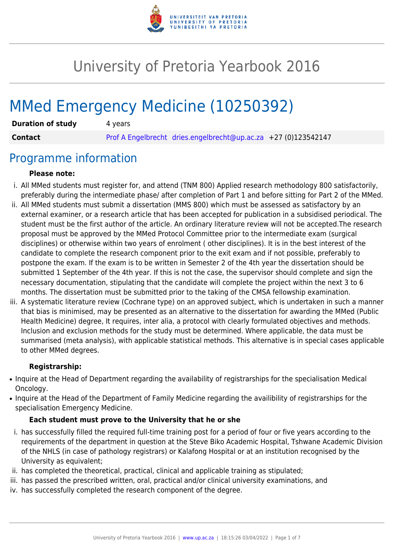

# University of Pretoria Yearbook 2016

# MMed Emergency Medicine (10250392)

| <b>Duration of study</b> | 4 years |                                                                |  |
|--------------------------|---------|----------------------------------------------------------------|--|
| <b>Contact</b>           |         | Prof A Engelbrecht dries.engelbrecht@up.ac.za +27 (0)123542147 |  |

### Programme information

#### **Please note:**

- i. All MMed students must register for, and attend (TNM 800) Applied research methodology 800 satisfactorily, preferably during the intermediate phase/ after completion of Part 1 and before sitting for Part 2 of the MMed.
- ii. All MMed students must submit a dissertation (MMS 800) which must be assessed as satisfactory by an external examiner, or a research article that has been accepted for publication in a subsidised periodical. The student must be the first author of the article. An ordinary literature review will not be accepted.The research proposal must be approved by the MMed Protocol Committee prior to the intermediate exam (surgical disciplines) or otherwise within two years of enrolment ( other disciplines). It is in the best interest of the candidate to complete the research component prior to the exit exam and if not possible, preferably to postpone the exam. If the exam is to be written in Semester 2 of the 4th year the dissertation should be submitted 1 September of the 4th year. If this is not the case, the supervisor should complete and sign the necessary documentation, stipulating that the candidate will complete the project within the next 3 to 6 months. The dissertation must be submitted prior to the taking of the CMSA fellowship examination.
- iii. A systematic literature review (Cochrane type) on an approved subject, which is undertaken in such a manner that bias is minimised, may be presented as an alternative to the dissertation for awarding the MMed (Public Health Medicine) degree, It requires, inter alia, a protocol with clearly formulated objectives and methods. Inclusion and exclusion methods for the study must be determined. Where applicable, the data must be summarised (meta analysis), with applicable statistical methods. This alternative is in special cases applicable to other MMed degrees.

#### **Registrarship:**

- Inquire at the Head of Department regarding the availability of registrarships for the specialisation Medical Oncology.
- Inquire at the Head of the Department of Family Medicine regarding the availibility of registrarships for the specialisation Emergency Medicine.

#### **Each student must prove to the University that he or she**

- i. has successfully filled the required full-time training post for a period of four or five years according to the requirements of the department in question at the Steve Biko Academic Hospital, Tshwane Academic Division of the NHLS (in case of pathology registrars) or Kalafong Hospital or at an institution recognised by the University as equivalent;
- ii. has completed the theoretical, practical, clinical and applicable training as stipulated;
- iii. has passed the prescribed written, oral, practical and/or clinical university examinations, and
- iv. has successfully completed the research component of the degree.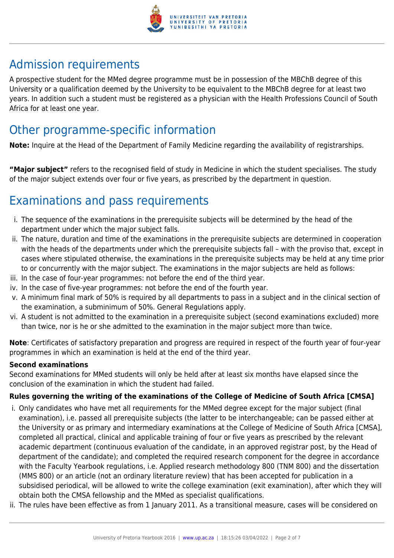

# Admission requirements

A prospective student for the MMed degree programme must be in possession of the MBChB degree of this University or a qualification deemed by the University to be equivalent to the MBChB degree for at least two years. In addition such a student must be registered as a physician with the Health Professions Council of South Africa for at least one year.

# Other programme-specific information

**Note:** Inquire at the Head of the Department of Family Medicine regarding the availability of registrarships.

**"Major subject"** refers to the recognised field of study in Medicine in which the student specialises. The study of the major subject extends over four or five years, as prescribed by the department in question.

# Examinations and pass requirements

- i. The sequence of the examinations in the prerequisite subjects will be determined by the head of the department under which the major subject falls.
- ii. The nature, duration and time of the examinations in the prerequisite subjects are determined in cooperation with the heads of the departments under which the prerequisite subjects fall – with the proviso that, except in cases where stipulated otherwise, the examinations in the prerequisite subjects may be held at any time prior to or concurrently with the major subject. The examinations in the major subjects are held as follows:
- iii. In the case of four-year programmes: not before the end of the third year.
- iv. In the case of five-year programmes: not before the end of the fourth year.
- v. A minimum final mark of 50% is required by all departments to pass in a subject and in the clinical section of the examination, a subminimum of 50%. General Regulations apply.
- vi. A student is not admitted to the examination in a prerequisite subject (second examinations excluded) more than twice, nor is he or she admitted to the examination in the major subject more than twice.

**Note**: Certificates of satisfactory preparation and progress are required in respect of the fourth year of four-year programmes in which an examination is held at the end of the third year.

#### **Second examinations**

Second examinations for MMed students will only be held after at least six months have elapsed since the conclusion of the examination in which the student had failed.

#### **Rules governing the writing of the examinations of the College of Medicine of South Africa [CMSA]**

- i. Only candidates who have met all requirements for the MMed degree except for the major subject (final examination), i.e. passed all prerequisite subjects (the latter to be interchangeable; can be passed either at the University or as primary and intermediary examinations at the College of Medicine of South Africa [CMSA], completed all practical, clinical and applicable training of four or five years as prescribed by the relevant academic department (continuous evaluation of the candidate, in an approved registrar post, by the Head of department of the candidate); and completed the required research component for the degree in accordance with the Faculty Yearbook regulations, i.e. Applied research methodology 800 (TNM 800) and the dissertation (MMS 800) or an article (not an ordinary literature review) that has been accepted for publication in a subsidised periodical, will be allowed to write the college examination (exit examination), after which they will obtain both the CMSA fellowship and the MMed as specialist qualifications.
- ii. The rules have been effective as from 1 January 2011. As a transitional measure, cases will be considered on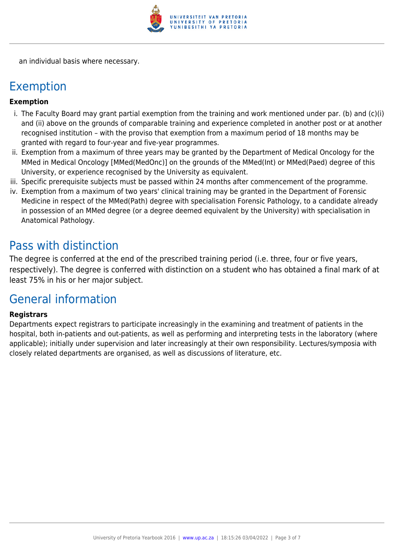

an individual basis where necessary.

### Exemption

#### **Exemption**

- i. The Faculty Board may grant partial exemption from the training and work mentioned under par. (b) and (c)(i) and (ii) above on the grounds of comparable training and experience completed in another post or at another recognised institution – with the proviso that exemption from a maximum period of 18 months may be granted with regard to four-year and five-year programmes.
- ii. Exemption from a maximum of three years may be granted by the Department of Medical Oncology for the MMed in Medical Oncology [MMed(MedOnc)] on the grounds of the MMed(Int) or MMed(Paed) degree of this University, or experience recognised by the University as equivalent.
- iii. Specific prerequisite subjects must be passed within 24 months after commencement of the programme.
- iv. Exemption from a maximum of two years' clinical training may be granted in the Department of Forensic Medicine in respect of the MMed(Path) degree with specialisation Forensic Pathology, to a candidate already in possession of an MMed degree (or a degree deemed equivalent by the University) with specialisation in Anatomical Pathology.

### Pass with distinction

The degree is conferred at the end of the prescribed training period (i.e. three, four or five years, respectively). The degree is conferred with distinction on a student who has obtained a final mark of at least 75% in his or her major subject.

### General information

#### **Registrars**

Departments expect registrars to participate increasingly in the examining and treatment of patients in the hospital, both in-patients and out-patients, as well as performing and interpreting tests in the laboratory (where applicable); initially under supervision and later increasingly at their own responsibility. Lectures/symposia with closely related departments are organised, as well as discussions of literature, etc.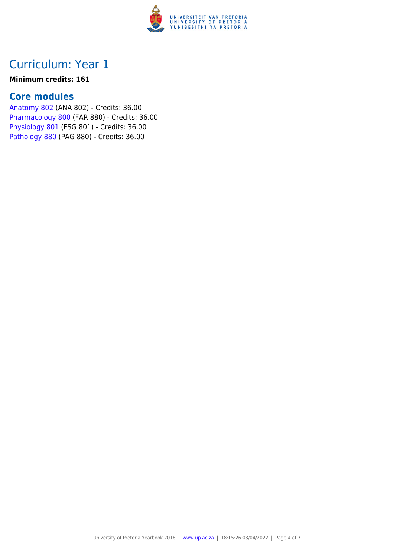

## Curriculum: Year 1

#### **Minimum credits: 161**

### **Core modules**

[Anatomy 802](https://www.up.ac.za/yearbooks/2016/modules/view/ANA 802) (ANA 802) - Credits: 36.00 [Pharmacology 800](https://www.up.ac.za/yearbooks/2016/modules/view/FAR 880) (FAR 880) - Credits: 36.00 [Physiology 801](https://www.up.ac.za/yearbooks/2016/modules/view/FSG 801) (FSG 801) - Credits: 36.00 [Pathology 880](https://www.up.ac.za/yearbooks/2016/modules/view/PAG 880) (PAG 880) - Credits: 36.00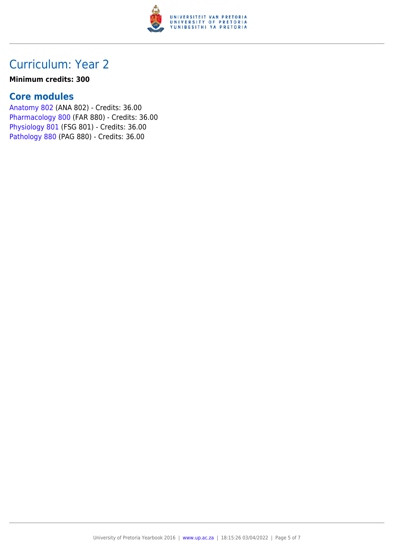

### Curriculum: Year 2

#### **Minimum credits: 300**

### **Core modules**

[Anatomy 802](https://www.up.ac.za/yearbooks/2016/modules/view/ANA 802) (ANA 802) - Credits: 36.00 [Pharmacology 800](https://www.up.ac.za/yearbooks/2016/modules/view/FAR 880) (FAR 880) - Credits: 36.00 [Physiology 801](https://www.up.ac.za/yearbooks/2016/modules/view/FSG 801) (FSG 801) - Credits: 36.00 [Pathology 880](https://www.up.ac.za/yearbooks/2016/modules/view/PAG 880) (PAG 880) - Credits: 36.00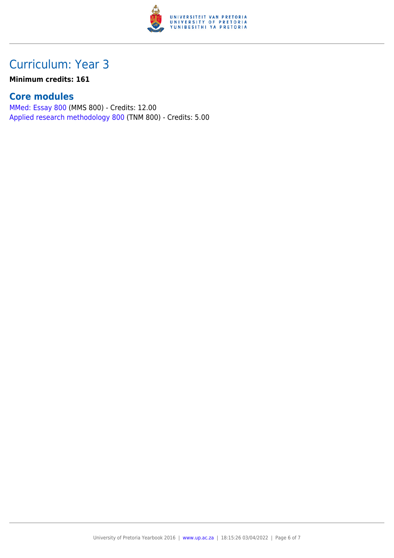

# Curriculum: Year 3

### **Minimum credits: 161**

### **Core modules**

[MMed: Essay 800](https://www.up.ac.za/yearbooks/2016/modules/view/MMS 800) (MMS 800) - Credits: 12.00 [Applied research methodology 800](https://www.up.ac.za/yearbooks/2016/modules/view/TNM 800) (TNM 800) - Credits: 5.00